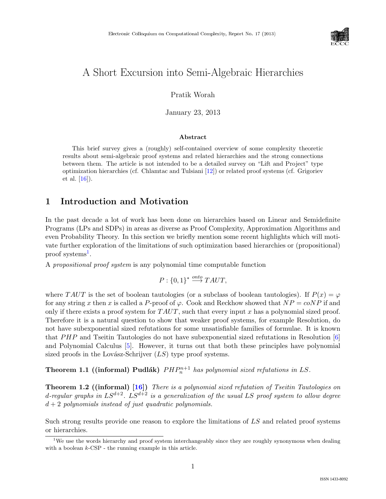

# A Short Excursion into Semi-Algebraic Hierarchies

Pratik Worah

January 23, 2013

#### Abstract

This brief survey gives a (roughly) self-contained overview of some complexity theoretic results about semi-algebraic proof systems and related hierarchies and the strong connections between them. The article is not intended to be a detailed survey on "Lift and Project" type optimization hierarchies (cf. Chlamtac and Tulsiani [\[12\]](#page--1-0)) or related proof systems (cf. Grigoriev et al. [\[16\]](#page--1-1)).

# 1 Introduction and Motivation

In the past decade a lot of work has been done on hierarchies based on Linear and Semidefinite Programs (LPs and SDPs) in areas as diverse as Proof Complexity, Approximation Algorithms and even Probability Theory. In this section we briefly mention some recent highlights which will motivate further exploration of the limitations of such optimization based hierarchies or (propositional) proof systems<sup>[1](#page-0-0)</sup>.

A propositional proof system is any polynomial time computable function

$$
P: \{0,1\}^* \stackrel{onto}{\longrightarrow} TAUT,
$$

where TAUT is the set of boolean tautologies (or a subclass of boolean tautologies). If  $P(x) = \varphi$ for any string x then x is called a P-proof of  $\varphi$ . Cook and Reckhow showed that  $NP = coNP$  if and only if there exists a proof system for  $TAUT$ , such that every input x has a polynomial sized proof. Therefore it is a natural question to show that weaker proof systems, for example Resolution, do not have subexponential sized refutations for some unsatisfiable families of formulae. It is known that  $PHP$  and Tseitin Tautologies do not have subexponential sized refutations in Resolution [\[6\]](#page--1-2) and Polynomial Calculus [\[5\]](#page--1-3). However, it turns out that both these principles have polynomial sized proofs in the Lovász-Schrijver  $(LS)$  type proof systems.

Theorem 1.1 ((informal) Pudlák)  $PHP_n^{n+1}$  has polynomial sized refutations in LS.

Theorem 1.2 ((informal) [\[16\]](#page--1-1)) There is a polynomial sized refutation of Tseitin Tautologies on d-regular graphs in  $LS^{d+2}$ .  $LS^{d+2}$  is a generalization of the usual LS proof system to allow degree  $d + 2$  polynomials instead of just quadratic polynomials.

Such strong results provide one reason to explore the limitations of LS and related proof systems or hierarchies.

<span id="page-0-0"></span><sup>&</sup>lt;sup>1</sup>We use the words hierarchy and proof system interchangeably since they are roughly synonymous when dealing with a boolean  $k$ -CSP - the running example in this article.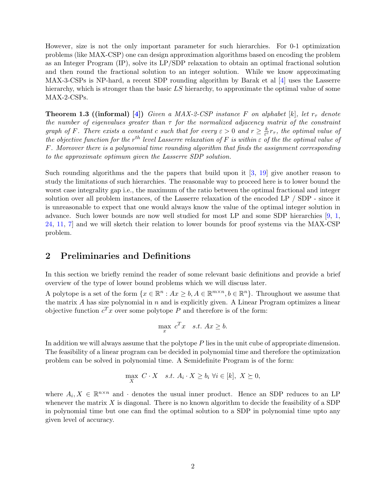However, size is not the only important parameter for such hierarchies. For 0-1 optimization problems (like MAX-CSP) one can design approximation algorithms based on encoding the problem as an Integer Program (IP), solve its LP/SDP relaxation to obtain an optimal fractional solution and then round the fractional solution to an integer solution. While we know approximating MAX-3-CSPs is NP-hard, a recent SDP rounding algorithm by Barak et al [\[4\]](#page-12-0) uses the Lasserre hierarchy, which is stronger than the basic LS hierarchy, to approximate the optimal value of some MAX-2-CSPs.

**Theorem 1.3 ((informal)** [\[4\]](#page-12-0)) Given a MAX-2-CSP instance F on alphabet [k], let  $r<sub>\tau</sub>$  denote the number of eigenvalues greater than  $\tau$  for the normalized adjacency matrix of the constraint graph of F. There exists a constant c such that for every  $\varepsilon > 0$  and  $r \geq \frac{k}{\varepsilon^d}$  $\frac{k}{\varepsilon^c}r_\tau$ , the optimal value of the objective function for the r<sup>th</sup> level Lasserre relaxation of F is within  $\varepsilon$  of the the optimal value of F. Moreover there is a polynomial time rounding algorithm that finds the assignment corresponding to the approximate optimum given the Lasserre SDP solution.

Such rounding algorithms and the the papers that build upon it [\[3,](#page-12-1) [19\]](#page-13-0) give another reason to study the limitations of such hierarchies. The reasonable way to proceed here is to lower bound the worst case integrality gap i.e., the maximum of the ratio between the optimal fractional and integer solution over all problem instances, of the Lasserre relaxation of the encoded LP / SDP - since it is unreasonable to expect that one would always know the value of the optimal integer solution in advance. Such lower bounds are now well studied for most LP and some SDP hierarchies [\[9,](#page-13-1) [1,](#page-12-2) [24,](#page-13-2) [11,](#page-13-3) [7\]](#page-12-3) and we will sketch their relation to lower bounds for proof systems via the MAX-CSP problem.

### 2 Preliminaries and Definitions

In this section we briefly remind the reader of some relevant basic definitions and provide a brief overview of the type of lower bound problems which we will discuss later.

A polytope is a set of the form  $\{x \in \mathbb{R}^n : Ax \geq b, A \in \mathbb{R}^{m \times n}, b \in \mathbb{R}^n\}$ . Throughout we assume that the matrix A has size polynomial in  $n$  and is explicitly given. A Linear Program optimizes a linear objective function  $c^T x$  over some polytope P and therefore is of the form:

$$
\max_{x} c^T x \quad s.t. \ Ax \ge b.
$$

In addition we will always assume that the polytope P lies in the unit cube of appropriate dimension. The feasibility of a linear program can be decided in polynomial time and therefore the optimization problem can be solved in polynomial time. A Semidefinite Program is of the form:

$$
\max_{X} C \cdot X \quad s.t. \ A_i \cdot X \ge b_i \ \forall i \in [k], \ X \succeq 0,
$$

where  $A_i, X \in \mathbb{R}^{n \times n}$  and  $\cdot$  denotes the usual inner product. Hence an SDP reduces to an LP whenever the matrix  $X$  is diagonal. There is no known algorithm to decide the feasibility of a SDP in polynomial time but one can find the optimal solution to a SDP in polynomial time upto any given level of accuracy.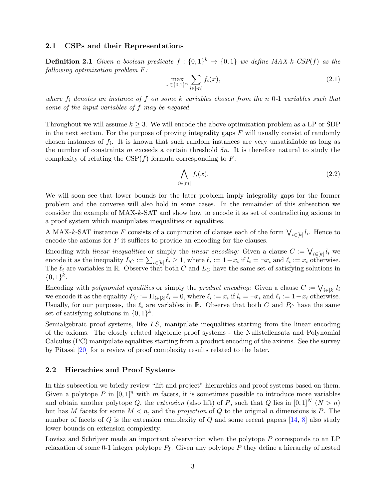#### 2.1 CSPs and their Representations

**Definition 2.1** Given a boolean predicate  $f: \{0,1\}^k \rightarrow \{0,1\}$  we define MAX-k-CSP(f) as the following optimization problem F:

<span id="page-2-0"></span>
$$
\max_{x \in \{0,1\}^n} \sum_{i \in [m]} f_i(x),\tag{2.1}
$$

where  $f_i$  denotes an instance of f on some k variables chosen from the n 0-1 variables such that some of the input variables of f may be negated.

Throughout we will assume  $k \geq 3$ . We will encode the above optimization problem as a LP or SDP in the next section. For the purpose of proving integrality gaps  $F$  will usually consist of randomly chosen instances of  $f_i$ . It is known that such random instances are very unsatisfiable as long as the number of constraints m exceeds a certain threshold  $\delta n$ . It is therefore natural to study the complexity of refuting the  $CSP(f)$  formula corresponding to F:

<span id="page-2-1"></span>
$$
\bigwedge_{i \in [m]} f_i(x). \tag{2.2}
$$

We will soon see that lower bounds for the later problem imply integrality gaps for the former problem and the converse will also hold in some cases. In the remainder of this subsection we consider the example of MAX-k-SAT and show how to encode it as set of contradicting axioms to a proof system which manipulates inequalities or equalities.

A MAX-k-SAT instance F consists of a conjunction of clauses each of the form  $\bigvee_{i\in[k]}l_i$ . Hence to encode the axioms for  $F$  it suffices to provide an encoding for the clauses.

Encoding with *linear inequalities* or simply the *linear encoding*: Given a clause  $C := \bigvee_{i \in [k]} l_i$  we encode it as the inequality  $L_C := \sum_{i \in [k]} \ell_i \geq 1$ , where  $\ell_i := 1 - x_i$  if  $l_i = \neg x_i$  and  $\ell_i := x_i$  otherwise. The  $\ell_i$  are variables in R. Observe that both C and  $L_C$  have the same set of satisfying solutions in  $\{0,1\}^k$ .

Encoding with *polynomial equalities* or simply the *product encoding:* Given a clause  $C := \bigvee_{i \in [k]} l_i$ we encode it as the equality  $P_C := \prod_{i \in [k]} \ell_i = 0$ , where  $\ell_i := x_i$  if  $l_i = \neg x_i$  and  $\ell_i := 1 - x_i$  otherwise. Usually, for our purposes, the  $\ell_i$  are variables in R. Observe that both C and  $P_C$  have the same set of satisfying solutions in  $\{0,1\}^k$ .

Semialgebraic proof systems, like LS, manipulate inequalities starting from the linear encoding of the axioms. The closely related algebraic proof systems - the Nullstellensatz and Polynomial Calculus (PC) manipulate equalities starting from a product encoding of the axioms. See the survey by Pitassi [\[20\]](#page-13-4) for a review of proof complexity results related to the later.

#### 2.2 Hierachies and Proof Systems

In this subsection we briefly review "lift and project" hierarchies and proof systems based on them. Given a polytope P in  $[0,1]^n$  with m facets, it is sometimes possible to introduce more variables and obtain another polytope Q, the extension (also lift) of P, such that Q lies in  $[0,1]^N$   $(N > n)$ but has M facets for some  $M < n$ , and the projection of Q to the original n dimensions is P. The number of facets of Q is the extension complexity of Q and some recent papers  $[14, 8]$  $[14, 8]$  $[14, 8]$  also study lower bounds on extension complexity.

Lovász and Schrijver made an important observation when the polytope  $P$  corresponds to an LP relaxation of some 0-1 integer polytope  $P_I$ . Given any polytope P they define a hierarchy of nested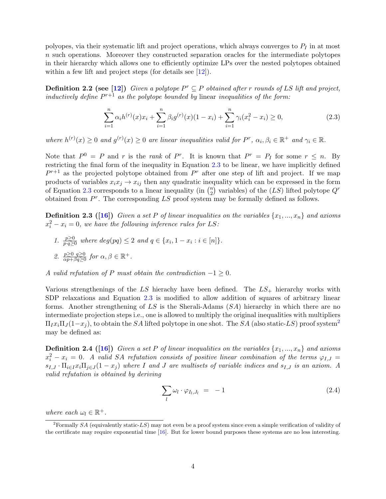polyopes, via their systematic lift and project operations, which always converges to  $P_I$  in at most n such operations. Moreover they constructed separation oracles for the intermediate polytopes in their hierarchy which allows one to efficiently optimize LPs over the nested polytopes obtained within a few lift and project steps (for details see [\[12\]](#page-13-7)).

**Definition 2.2 (see [\[12\]](#page-13-7))** Given a polytope  $P^r \subseteq P$  obtained after r rounds of LS lift and project, inductively define  $P^{r+1}$  as the polytope bounded by linear inequalities of the form:

<span id="page-3-0"></span>
$$
\sum_{i=1}^{n} \alpha_i h^{(r)}(x) x_i + \sum_{i=1}^{n} \beta_i g^{(r)}(x) (1 - x_i) + \sum_{i=1}^{n} \gamma_i (x_i^2 - x_i) \ge 0,
$$
\n(2.3)

where  $h^{(r)}(x) \geq 0$  and  $g^{(r)}(x) \geq 0$  are linear inequalities valid for  $P^r$ ,  $\alpha_i, \beta_i \in \mathbb{R}^+$  and  $\gamma_i \in \mathbb{R}$ .

Note that  $P^0 = P$  and r is the rank of P<sup>r</sup>. It is known that  $P^r = P_I$  for some  $r \leq n$ . By restricting the final form of the inequality in Equation [2.3](#page-3-0) to be linear, we have implicitly defined  $P^{r+1}$  as the projected polytope obtained from  $P^r$  after one step of lift and project. If we map products of variables  $x_ix_j \rightarrow x_{ij}$  then any quadratic inequality which can be expressed in the form of Equation [2.3](#page-3-0) corresponds to a linear inequality (in  $\binom{n}{2}$  $\binom{n}{2}$  variables) of the  $(LS)$  lifted polytope  $Q^r$ obtained from  $P^r$ . The corresponding LS proof system may be formally defined as follows.

**Definition 2.3 ([\[16\]](#page-13-8))** Given a set P of linear inequalities on the variables  $\{x_1, ..., x_n\}$  and axioms  $x_i^2 - x_i = 0$ , we have the following inference rules for LS:

1.  $\frac{p\geq 0}{p\cdot q\geq 0}$  where  $deg(pq) \leq 2$  and  $q \in \{x_i, 1 - x_i : i \in [n]\}.$ 2.  $\frac{p\geq 0 \quad q\geq 0}{\alpha p+\beta q\geq 0}$  for  $\alpha, \beta \in \mathbb{R}^+$ .

A valid refutation of P must obtain the contradiction  $-1 \geq 0$ .

Various strengthenings of the LS hierachy have been defined. The  $LS_+$  hierarchy works with SDP relaxations and Equation [2.3](#page-3-0) is modified to allow addition of squares of arbitrary linear forms. Another strengthening of LS is the Sherali-Adams (SA) hierarchy in which there are no intermediate projection steps i.e., one is allowed to multiply the original inequalities with multipliers  $\Pi_I x_i \Pi_I (1-x_i)$ , to obtain the SA lifted polytope in one shot. The SA (also static-LS) proof system<sup>[2](#page-3-1)</sup> may be defined as:

**Definition 2.4 ([\[16\]](#page-13-8))** Given a set P of linear inequalities on the variables  $\{x_1, ..., x_n\}$  and axioms  $x_i^2 - x_i = 0$ . A valid SA refutation consists of positive linear combination of the terms  $\varphi_{I,J} =$  $s_{I,J}$  ·  $\Pi_{i\in I}x_i\Pi_{j\in J}(1-x_j)$  where I and J are multisets of variable indices and  $s_{I,J}$  is an axiom. A valid refutation is obtained by deriving

<span id="page-3-2"></span>
$$
\sum_{l} \omega_l \cdot \varphi_{I_l, J_l} = -1 \tag{2.4}
$$

where each  $\omega_l \in \mathbb{R}^+$ .

<span id="page-3-1"></span><sup>&</sup>lt;sup>2</sup>Formally SA (equivalently static-LS) may not even be a proof system since even a simple verification of validity of the certificate may require exponential time [\[16\]](#page-13-8). But for lower bound purposes these systems are no less interesting.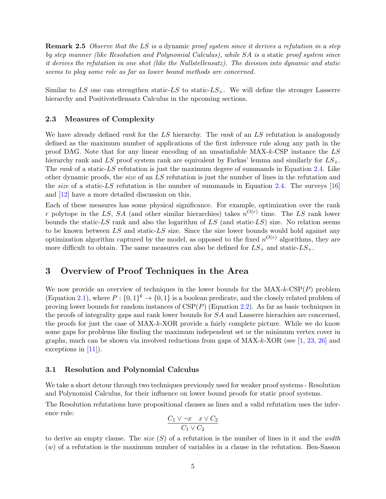**Remark 2.5** Observe that the LS is a dynamic proof system since it derives a refutation in a step by step manner (like Resolution and Polynomial Calculus), while SA is a static proof system since it derives the refutation in one shot (like the Nullstellensatz). The division into dynamic and static seems to play some role as far as lower bound methods are concerned.

Similar to LS one can strengthen static-LS to static- $LS_+$ . We will define the stronger Lasserre hierarchy and Positivstellensatz Calculus in the upcoming sections.

#### 2.3 Measures of Complexity

We have already defined *rank* for the LS hierarchy. The *rank* of an LS refutation is analogously defined as the maximum number of applications of the first inference rule along any path in the proof DAG. Note that for any linear encoding of an unsatisfiable MAX-k-CSP instance the LS hierarchy rank and LS proof system rank are equivalent by Farkas' lemma and similarly for  $LS_+$ . The rank of a static-LS refutation is just the maximum degree of summands in Equation [2.4.](#page-3-2) Like other dynamic proofs, the size of an LS refutation is just the number of lines in the refutation and the *size* of a static-LS refutation is the number of summands in Equation [2.4.](#page-3-2) The surveys [\[16\]](#page-13-8) and [\[12\]](#page-13-7) have a more detailed discussion on this.

Each of these measures has some physical significance. For example, optimization over the rank r polytope in the LS, SA (and other similar hierarchies) takes  $n^{O(r)}$  time. The LS rank lower bounds the static-LS rank and also the logarithm of LS (and static-LS) size. No relation seems to be known between  $LS$  and static- $LS$  size. Since the size lower bounds would hold against any optimization algorithm captured by the model, as opposed to the fixed  $n^{O(r)}$  algorithms, they are more difficult to obtain. The same measures can also be defined for  $LS_+$  and static- $LS_+$ .

### 3 Overview of Proof Techniques in the Area

We now provide an overview of techniques in the lower bounds for the  $MAX\text{-}cSP(P)$  problem (Equation [2.1\)](#page-2-0), where  $P: \{0,1\}^k \to \{0,1\}$  is a boolean predicate, and the closely related problem of proving lower bounds for random instances of  $CSP(P)$  (Equation [2.2\)](#page-2-1). As far as basic techniques in the proofs of integrality gaps and rank lower bounds for SA and Lasserre hierachies are concerned, the proofs for just the case of MAX-k-XOR provide a fairly complete picture. While we do know some gaps for problems like finding the maximum independent set or the minimum vertex cover in graphs, much can be shown via involved reductions from gaps of  $MAX-k-XOR$  (see [\[1,](#page-12-2) [23,](#page-13-9) [26\]](#page--1-4) and exceptions in [\[11\]](#page-13-3)).

#### 3.1 Resolution and Polynomial Calculus

We take a short detour through two techniques previously used for weaker proof systems - Resolution and Polynomial Calculus, for their influence on lower bound proofs for static proof systems.

The Resolution refutations have propositional clauses as lines and a valid refutation uses the inference rule:

$$
\frac{C_1 \vee \neg x \quad x \vee C_2}{C_1 \vee C_2}
$$

to derive an empty clause. The size  $(S)$  of a refutation is the number of lines in it and the width (w) of a refutation is the maximum number of variables in a clause in the refutation. Ben-Sasson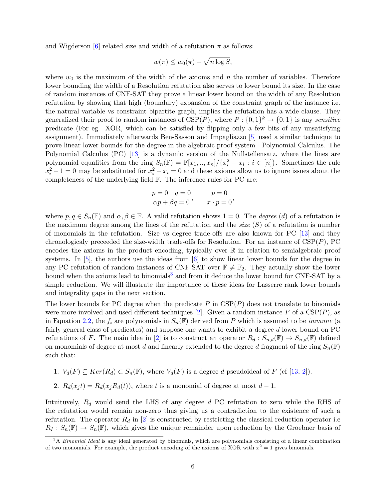and Wigderson [\[6\]](#page-12-4) related size and width of a refutation  $\pi$  as follows:

$$
w(\pi) \le w_0(\pi) + \sqrt{n \log S},
$$

where  $w_0$  is the maximum of the width of the axioms and n the number of variables. Therefore lower bounding the width of a Resolution refutation also serves to lower bound its size. In the case of random instances of CNF-SAT they prove a linear lower bound on the width of any Resolution refutation by showing that high (boundary) expansion of the constraint graph of the instance i.e. the natural variable vs constraint bipartite graph, implies the refutation has a wide clause. They generalized their proof to random instances of  $CSP(P)$ , where  $P: \{0,1\}^k \to \{0,1\}$  is any sensitive predicate (For eg. XOR, which can be satisfied by flipping only a few bits of any unsatisfying assignment). Immediately afterwards Ben-Sasson and Impagliazzo [\[5\]](#page-12-5) used a similar technique to prove linear lower bounds for the degree in the algebraic proof system - Polynomial Calculus. The Polynomial Calculus (PC) [\[13\]](#page-13-10) is a dynamic version of the Nullstellensatz, where the lines are polynomial equalities from the ring  $S_n(\mathbb{F}) = \mathbb{F}[x_1, ..., x_n] / \{x_i^2 - x_i : i \in [n]\}$ . Sometimes the rule  $x_i^2 - 1 = 0$  may be substituted for  $x_i^2 - x_i = 0$  and these axioms allow us to ignore issues about the completeness of the underlying field F. The inference rules for PC are:

$$
\frac{p=0 \quad q=0}{\alpha p+\beta q=0}, \qquad \frac{p=0}{x\cdot p=0},
$$

where  $p, q \in S_n(\mathbb{F})$  and  $\alpha, \beta \in \mathbb{F}$ . A valid refutation shows  $1 = 0$ . The *degree* (*d*) of a refutation is the maximum degree among the lines of the refutation and the size  $(S)$  of a refutation is number of monomials in the refutation. Size vs degree trade-offs are also known for PC [\[13\]](#page-13-10) and they chronologicaly preceeded the size-width trade-offs for Resolution. For an instance of  $CSP(P)$ , PC encodes the axioms in the product encoding, typically over  $\mathbb R$  in relation to semialgebraic proof systems. In  $[5]$ , the authors use the ideas from  $[6]$  to show linear lower bounds for the degree in any PC refutation of random instances of CNF-SAT over  $\mathbb{F} \neq \mathbb{F}_2$ . They actually show the lower bound when the axioms lead to binomials<sup>[3](#page-5-0)</sup> and from it deduce the lower bound for CNF-SAT by a simple reduction. We will illustrate the importance of these ideas for Lasserre rank lower bounds and integrality gaps in the next section.

The lower bounds for PC degree when the predicate  $P$  in  $CSP(P)$  does not translate to binomials were more involved and used different techniques [\[2\]](#page-12-6). Given a random instance F of a  $CSP(P)$ , as in Equation [2.2,](#page-2-1) the  $f_i$  are polynomials in  $S_n(\mathbb{F})$  derived from P which is assumed to be *immune* (a fairly general class of predicates) and suppose one wants to exhibit a degree d lower bound on PC refutations of F. The main idea in [\[2\]](#page-12-6) is to construct an operator  $R_d: S_{n,d}(\mathbb{F}) \to S_{n,d}(\mathbb{F})$  defined on monomials of degree at most d and linearly extended to the degree d fragment of the ring  $S_n(\mathbb{F})$ such that:

- 1.  $V_d(F) \subseteq Ker(R_d) \subset S_n(\mathbb{F})$ , where  $V_d(F)$  is a degree d pseudoideal of F (cf [\[13,](#page-13-10) [2\]](#page-12-6)).
- 2.  $R_d(x_it) = R_d(x_iR_d(t))$ , where t is a monomial of degree at most  $d-1$ .

Intuituvely,  $R_d$  would send the LHS of any degree  $d$  PC refutation to zero while the RHS of the refutation would remain non-zero thus giving us a contradiction to the existence of such a refutation. The operator  $R_d$  in [\[2\]](#page-12-6) is constructed by restricting the classical reduction operator i.e.  $R_I: S_n(\mathbb{F}) \to S_n(\mathbb{F})$ , which gives the unique remainder upon reduction by the Groebner basis of

<span id="page-5-0"></span><sup>&</sup>lt;sup>3</sup>A *Binomial Ideal* is any ideal generated by binomials, which are polynomials consisting of a linear combination of two monomials. For example, the product encoding of the axioms of XOR with  $x^2 = 1$  gives binomials.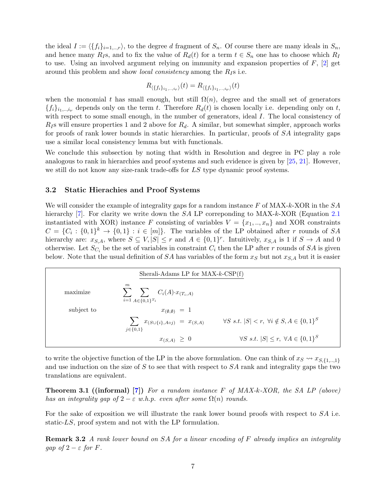the ideal  $I := \langle \{f_i\}_{i=1,\dots,r}\rangle$ , to the degree d fragment of  $S_n$ . Of course there are many ideals in  $S_n$ , and hence many  $R_I$ s, and to fix the value of  $R_d(t)$  for a term  $t \in S_n$  one has to choose which  $R_I$ to use. Using an involved argument relying on immunity and expansion properties of  $F$ ,  $[2]$  get around this problem and show *local consistency* among the  $R<sub>I</sub>$ s i.e.

$$
R_{\langle \{f_i\}_{i_1,\ldots,i_r}\rangle}(t) = R_{\langle \{f_i\}_{i_1,\ldots,i_\nu}\rangle}(t)
$$

when the monomial t has small enough, but still  $\Omega(n)$ , degree and the small set of generators  ${f_i}_{i_1,\ldots,i_{\nu}}$  depends only on the term t. Therefore  $R_d(t)$  is chosen locally i.e. depending only on t, with respect to some small enough, in the number of generators, ideal I. The local consistency of  $R<sub>I</sub>$ s will ensure properties 1 and 2 above for  $R<sub>d</sub>$ . A similar, but somewhat simpler, approach works for proofs of rank lower bounds in static hierarchies. In particular, proofs of SA integrality gaps use a similar local consistency lemma but with functionals.

We conclude this subsection by noting that width in Resolution and degree in PC play a role analogous to rank in hierarchies and proof systems and such evidence is given by [\[25,](#page--1-5) [21\]](#page-13-11). However, we still do not know any size-rank trade-offs for LS type dynamic proof systems.

#### 3.2 Static Hierachies and Proof Systems

We will consider the example of integrality gaps for a random instance  $F$  of MAX-k-XOR in the  $SA$ hierarchy [\[7\]](#page-12-3). For clarity we write down the  $SA$  LP corresponding to MAX-k-XOR (Equation [2.1](#page-2-0)) instantiated with XOR) instance F consisting of variables  $V = \{x_1, ..., x_n\}$  and XOR constraints  $C = \{C_i : \{0,1\}^k \to \{0,1\} : i \in [m]\}.$  The variables of the LP obtained after r rounds of SA hierarchy are:  $x_{S,A}$ , where  $S \subseteq V, |S| \leq r$  and  $A \in \{0,1\}^r$ . Intuitively,  $x_{S,A}$  is 1 if  $S \to A$  and 0 otherwise. Let  $S_{C_i}$  be the set of variables in constraint  $C_i$  then the LP after r rounds of SA is given below. Note that the usual definition of  $SA$  has variables of the form  $x<sub>S</sub>$  but not  $x<sub>S,A</sub>$  but it is easier

| Sherali-Adams LP for $MAX-k-CSP(f)$ |                                                                                   |                                                                     |
|-------------------------------------|-----------------------------------------------------------------------------------|---------------------------------------------------------------------|
| maximize                            | m<br>$\sum_{i} \sum_{i} C_i(A) \cdot x_{(T_i, A)}$<br>$i=1$ $A \in \{0,1\}^{T_i}$ |                                                                     |
| subject to                          | $x_{(\emptyset,\emptyset)} = 1$                                                   |                                                                     |
|                                     | $\sum x_{(S \cup \{i\}, A \circ j)} = x_{(S, A)}$<br>$j \in \{0,1\}$              | $\forall S \ s.t. \  S  < r, \ \forall i \notin S, A \in \{0,1\}^S$ |
|                                     | $x_{(S,A)} \geq 0$                                                                | $\forall S \ s.t. \  S  \leq r, \ \forall A \in \{0,1\}^S$          |

to write the objective function of the LP in the above formulation. One can think of  $x_S \leadsto x_{S,\{1,\ldots,1\}}$ and use induction on the size of  $S$  to see that with respect to  $SA$  rank and integrality gaps the two translations are equivalent.

**Theorem 3.1 ((informal)** [\[7\]](#page-12-3)) For a random instance F of  $MAX\text{-}K\text{-}XOR$ , the SA LP (above) has an integrality gap of  $2 - \varepsilon$  w.h.p. even after some  $\Omega(n)$  rounds.

For the sake of exposition we will illustrate the rank lower bound proofs with respect to  $SA$  i.e. static-LS, proof system and not with the LP formulation.

**Remark 3.2** A rank lower bound on SA for a linear encoding of F already implies an integrality gap of  $2 - \varepsilon$  for F.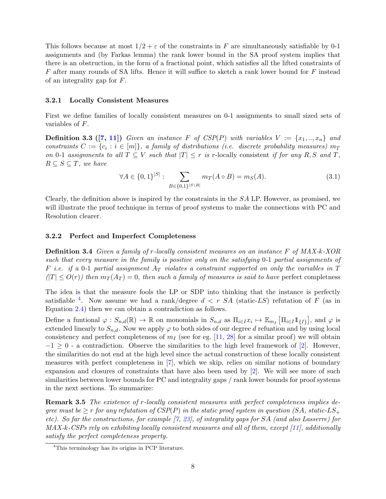This follows because at most  $1/2 + \varepsilon$  of the constraints in F are simultaneously satisfiable by 0-1 assignments and (by Farkas lemma) the rank lower bound in the SA proof system implies that there is an obstruction, in the form of a fractional point, which satisfies all the lifted constraints of  $F$  after many rounds of SA lifts. Hence it will suffice to sketch a rank lower bound for  $F$  instead of an integrality gap for F.

#### 3.2.1 Locally Consistent Measures

First we define families of locally consistent measures on 0-1 assignments to small sized sets of variables of F.

**Definition 3.3 ([\[7,](#page-12-3) [11\]](#page-13-3))** Given an instance F of CSP(P) with variables  $V := \{x_1, ..., x_n\}$  and constraints  $C := \{c_i : i \in [m]\},\$ a family of distributions (i.e. discrete probability measures)  $m<sub>T</sub>$ on 0-1 assignments to all  $T \subseteq V$  such that  $|T| \leq r$  is r-locally consistent if for any R, S and T,  $R \subseteq S \subseteq T$ , we have

$$
\forall A \in \{0,1\}^{|S|} : \sum_{B \in \{0,1\}^{|S \setminus R|}} m_T(A \circ B) = m_S(A). \tag{3.1}
$$

Clearly, the definition above is inspired by the constraints in the SA LP. However, as promised, we will illustrate the proof technique in terms of proof systems to make the connections with PC and Resolution clearer.

#### 3.2.2 Perfect and Imperfect Completeness

Definition 3.4 Given a family of r-locally consistent measures on an instance F of MAX-k-XOR such that every measure in the family is positive only on the satisfying 0-1 partial assignments of F i.e. if a 0-1 partial assignment  $A_T$  violates a constraint supported on only the variables in T  $(T| \leq O(r))$  then  $m_T(A_T) = 0$ , then such a family of measures is said to have perfect completness

The idea is that the measure fools the LP or SDP into thinking that the instance is perfectly satisfiable <sup>[4](#page-7-0)</sup>. Now assume we had a rank/degree  $d \langle r \rangle SA$  (static-LS) refutation of F (as in Equation [2.4\)](#page-3-2) then we can obtain a contradiction as follows.

Define a funtional  $\varphi: S_{n,d}(\mathbb{R}) \to \mathbb{R}$  on monomials in  $S_{n,d}$  as  $\Pi_{i \in I} x_i \mapsto \mathbb{E}_{m_I} \left[ \Pi_{i \in I} 1 \mathbb{1}_{\{I\}} \right]$ , and  $\varphi$  is extended linearly to  $S_{n,d}$ . Now we apply  $\varphi$  to both sides of our degree d refuation and by using local consistency and perfect completeness of  $m<sub>I</sub>$  (see for eg. [\[11,](#page-13-3) [28\]](#page--1-6) for a similar proof) we will obtain  $-1 \geq 0$  - a contradiction. Observe the similarities to the high level framework of [\[2\]](#page-12-6). However, the similarities do not end at the high level since the actual construction of these locally consistent measures with perfect completeness in [\[7\]](#page-12-3), which we skip, relies on similar notions of boundary expansion and closures of constraints that have also been used by [\[2\]](#page-12-6). We will see more of such similarities between lower bounds for PC and integrality gaps / rank lower bounds for proof systems in the next sections. To summarize:

**Remark 3.5** The existence of r-locally consistent measures with perfect completeness implies degree must be  $\geq r$  for any refutation of CSP(P) in the static proof system in question (SA, static-LS<sub>+</sub> etc). So far the constructions, for example [\[7,](#page-12-3) [23\]](#page-13-9), of integrality gaps for SA (and also Lasserre) for MAX-k-CSPs rely on exhibiting locally consistent measures and all of them, except [\[11\]](#page-13-3), additionally satisfy the perfect completeness property.

<span id="page-7-0"></span><sup>4</sup>This terminology has its origins in PCP literature.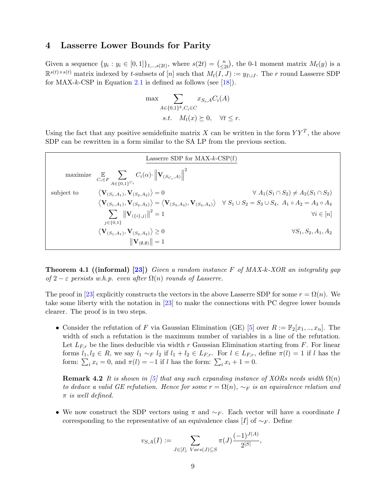### <span id="page-8-0"></span>4 Lasserre Lower Bounds for Parity

Given a sequence  $\{y_i : y_i \in [0,1]\}_{1, ..., s(2t)}$ , where  $s(2t) = \binom{n}{\leq 2}$  $\binom{n}{\leq 2t}$ , the 0-1 moment matrix  $M_t(y)$  is a  $\mathbb{R}^{s(t)\times s(t)}$  matrix indexed by t-subsets of  $[n]$  such that  $M_t(\overline{I},J) := y_{I\cup J}$ . The r round Lasserre SDP for MAX-k-CSP in Equation [2.1](#page-2-0) is defined as follows (see  $[18]$ ).

$$
\max \sum_{A \in \{0,1\}^k, C_i \in C} x_{S_i, A} C_i(A)
$$
  
s.t.  $M_t(x) \succeq 0$ ,  $\forall t \leq r$ .

Using the fact that any positive semidefinite matrix X can be written in the form  $YY<sup>T</sup>$ , the above SDP can be rewritten in a form similar to the SA LP from the previous section.

| Lasserre SDP for MAX- $k$ -CSP $(f)$ |                                                                                                                                                                        |                                                    |
|--------------------------------------|------------------------------------------------------------------------------------------------------------------------------------------------------------------------|----------------------------------------------------|
|                                      | maximize $\mathbb{E}\limits_{C_i \in F} \sum_{A \in \{0,1\}^{C_i}} C_i(\alpha) \cdot \left\ \mathbf{V}_{(S_{C_i},A)}\right\ ^2$                                        |                                                    |
| subject to                           | $\langle {\bf V}_{(S_1,A_1)},{\bf V}_{(S_2,A_2)}\rangle =0$                                                                                                            | $\forall A_1(S_1 \cap S_2) \neq A_2(S_1 \cap S_2)$ |
|                                      | $\langle V_{(S_1,A_1)}, V_{(S_2,A_2)} \rangle = \langle V_{(S_3,A_3)}, V_{(S_4,A_4)} \rangle \quad \forall S_1 \cup S_2 = S_3 \cup S_4, A_1 \circ A_2 = A_3 \circ A_4$ |                                                    |
|                                      | $\sum   \mathbf{V}_{(\{i\},j)}  ^2 = 1$<br>$i \in \{0,1\}$                                                                                                             | $\forall i \in [n]$                                |
|                                      | $\langle {\bf V}_{(S_1,A_1)},{\bf V}_{(S_2,A_2)}\rangle \geq 0$                                                                                                        | $\forall S_1, S_2, A_1, A_2$                       |
|                                      | $\ \mathbf{V}_{(\emptyset,\emptyset)}\ =1$                                                                                                                             |                                                    |

**Theorem 4.1 ((informal) [\[23\]](#page-13-9))** Given a random instance F of  $MAX\cdot k$ -XOR an integrality gap of  $2 - \varepsilon$  persists w.h.p. even after  $\Omega(n)$  rounds of Lasserre.

The proof in [\[23\]](#page-13-9) explicitly constructs the vectors in the above Lasserre SDP for some  $r = \Omega(n)$ . We take some liberty with the notation in [\[23\]](#page-13-9) to make the connections with PC degree lower bounds clearer. The proof is in two steps.

• Consider the refutation of F via Gaussian Elimination (GE) [\[5\]](#page-12-5) over  $R := \mathbb{F}_2[x_1, \ldots, x_n]$ . The width of such a refutation is the maximum number of variables in a line of the refutation. Let  $L_{F,r}$  be the lines deducible via width r Gaussian Elimination starting from F. For linear forms  $l_1, l_2 \in R$ , we say  $l_1 \sim_F l_2$  if  $l_1 + l_2 \in L_{F,r}$ . For  $l \in L_{F,r}$ , define  $\pi(l) = 1$  if l has the form:  $\sum_i x_i = 0$ , and  $\pi(l) = -1$  if l has the form:  $\sum_i x_i + 1 = 0$ .

**Remark 4.2** It is shown in [\[5\]](#page-12-5) that any such expanding instance of XORs needs width  $\Omega(n)$ to deduce a valid GE refutation. Hence for some  $r = \Omega(n)$ ,  $\sim_F$  is an equivalence relation and  $\pi$  is well defined.

• We now construct the SDP vectors using  $\pi$  and  $\sim_F$ . Each vector will have a coordinate I corresponding to the representative of an equivalence class [I] of  $\sim_F$ . Define

$$
v_{S,A}(I) := \sum_{J \in [I], \ Var(s(J) \subseteq S} \pi(J) \frac{(-1)^{J(A)}}{2^{|S|}},
$$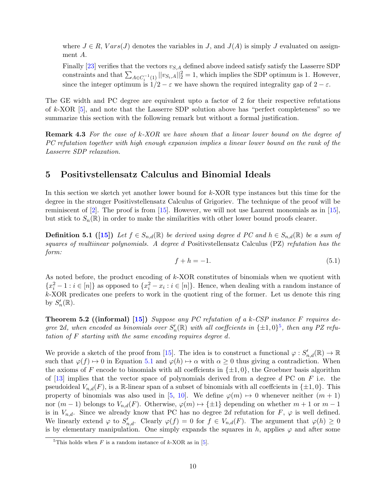where  $J \in R$ ,  $Vars(J)$  denotes the variables in J, and  $J(A)$  is simply J evaluated on assignment A.

Finally [\[23\]](#page-13-9) verifies that the vectors  $v_{S,A}$  defined above indeed satisfy satisfy the Lasserre SDP constraints and that  $\sum_{A \in C_i^{-1}(1)} ||v_{S_i,A}||_2^2 = 1$ , which implies the SDP optimum is 1. However, since the integer optimum is  $1/2 - \varepsilon$  we have shown the required integrality gap of  $2 - \varepsilon$ .

The GE width and PC degree are equivalent upto a factor of 2 for their respective refutations of k-XOR [\[5\]](#page-12-5), and note that the Lasserre SDP solution above has "perfect completeness" so we summarize this section with the following remark but without a formal justification.

**Remark 4.3** For the case of  $k$ -XOR we have shown that a linear lower bound on the degree of PC refutation together with high enough expansion implies a linear lower bound on the rank of the Lasserre SDP relaxation.

### 5 Positivstellensatz Calculus and Binomial Ideals

In this section we sketch yet another lower bound for k-XOR type instances but this time for the degree in the stronger Positivstellensatz Calculus of Grigoriev. The technique of the proof will be reminiscent of  $[2]$ . The proof is from  $[15]$ . However, we will not use Laurent monomials as in  $[15]$ , but stick to  $S_n(\mathbb{R})$  in order to make the similarities with other lower bound proofs clearer.

**Definition 5.1** ([\[15\]](#page-13-13)) Let  $f \in S_{n,d}(\mathbb{R})$  be derived using degree d PC and  $h \in S_{n,d}(\mathbb{R})$  be a sum of squares of multiinear polynomials. A degree d Positivstellensatz Calculus (PZ) refutation has the form:

<span id="page-9-1"></span>
$$
f + h = -1.\tag{5.1}
$$

As noted before, the product encoding of k-XOR constitutes of binomials when we quotient with  ${x_i^2-1 : i \in [n]}$  as opposed to  ${x_i^2-x_i : i \in [n]}$ . Hence, when dealing with a random instance of k-XOR predicates one prefers to work in the quotient ring of the former. Let us denote this ring by  $S'_n(\mathbb{R})$ .

**Theorem 5.2 ((informal)** [\[15\]](#page-13-13)) Suppose any PC refutation of a k-CSP instance F requires degree 2d, when encoded as binomials over  $S'_n(\mathbb{R})$  with all coefficients in  $\{\pm 1,0\}^5$  $\{\pm 1,0\}^5$ , then any PZ refutation of F starting with the same encoding requires degree d.

We provide a sketch of the proof from [\[15\]](#page-13-13). The idea is to construct a functional  $\varphi: S'_{n,d}(\mathbb{R}) \to \mathbb{R}$ such that  $\varphi(f) \mapsto 0$  in Equation [5.1](#page-9-1) and  $\varphi(h) \mapsto \alpha$  with  $\alpha \geq 0$  thus giving a contradiction. When the axioms of F encode to binomials with all coeffcients in  $\{\pm 1, 0\}$ , the Groebner basis algorithm of  $[13]$  implies that the vector space of polynomials derived from a degree d PC on F i.e. the pseudoideal  $V_{n,d}(F)$ , is a R-linear span of a subset of binomials with all coeffcients in  $\{\pm 1, 0\}$ . This property of binomials was also used in [\[5,](#page-12-5) [10\]](#page-13-14). We define  $\varphi(m) \mapsto 0$  whenever neither  $(m + 1)$ nor  $(m-1)$  belongs to  $V_{n,d}(F)$ . Otherwise,  $\varphi(m) \mapsto {\pm 1}$  depending on whether  $m+1$  or  $m-1$ is in  $V_{n,d}$ . Since we already know that PC has no degree 2d refutation for F,  $\varphi$  is well defined. We linearly extend  $\varphi$  to  $S'_{n,d}$ . Clearly  $\varphi(f) = 0$  for  $f \in V_{n,d}(F)$ . The argument that  $\varphi(h) \geq 0$ is by elementary manipulation. One simply expands the squares in h, applies  $\varphi$  and after some

<span id="page-9-0"></span><sup>&</sup>lt;sup>5</sup>This holds when F is a random instance of  $k$ -XOR as in [\[5\]](#page-12-5).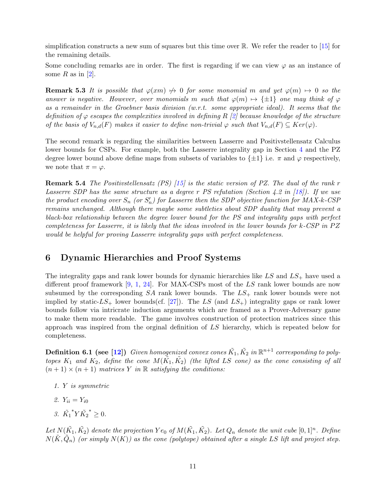simplification constructs a new sum of squares but this time over  $\mathbb{R}$ . We refer the reader to [\[15\]](#page-13-13) for the remaining details.

Some concluding remarks are in order. The first is regarding if we can view  $\varphi$  as an instance of some R as in  $[2]$ .

**Remark 5.3** It is possible that  $\varphi(xm) \nrightarrow 0$  for some monomial m and yet  $\varphi(m) \rightarrow 0$  so the answer is negative. However, over monomials m such that  $\varphi(m) \mapsto {\pm 1}$  one may think of  $\varphi$ as a remainder in the Groebner basis division (w.r.t. some appropriate ideal). It seems that the definition of  $\varphi$  escapes the complexities involved in defining R [\[2\]](#page-12-6) because knowledge of the structure of the basis of  $V_{n,d}(F)$  makes it easier to define non-trivial  $\varphi$  such that  $V_{n,d}(F) \subseteq Ker(\varphi)$ .

The second remark is regarding the similarities between Lasserre and Positivstellensatz Calculus lower bounds for CSPs. For example, both the Lasserre integrality gap in Section [4](#page-8-0) and the PZ degree lower bound above define maps from subsets of variables to  $\{\pm 1\}$  i.e.  $\pi$  and  $\varphi$  respectively, we note that  $\pi = \varphi$ .

**Remark 5.4** The Positivstellensatz (PS)  $\left[15\right]$  is the static version of PZ. The dual of the rank r Lasserre SDP has the same structure as a degree r PS refutation (Section 4.2 in [\[18\]](#page-13-12)). If we use the product encoding over  $S_n$  (or  $S'_n$ ) for Lasserre then the SDP objective function for MAX-k-CSP remains unchanged. Although there maybe some subtleties about SDP duality that may prevent a black-box relationship between the degree lower bound for the PS and integrality gaps with perfect completeness for Lasserre, it is likely that the ideas involved in the lower bounds for  $k$ -CSP in PZ would be helpful for proving Lasserre integrality gaps with perfect completeness.

# 6 Dynamic Hierarchies and Proof Systems

The integrality gaps and rank lower bounds for dynamic hierarchies like  $LS$  and  $LS_+$  have used a different proof framework [\[9,](#page-13-1) [1,](#page-12-2) [24\]](#page-13-2). For MAX-CSPs most of the LS rank lower bounds are now subsumed by the corresponding  $SA$  rank lower bounds. The  $LS_+$  rank lower bounds were not implied by static- $LS_+$  lower bounds(cf. [\[27\]](#page--1-7)). The LS (and  $LS_+$ ) integrality gaps or rank lower bounds follow via intricrate induction arguments which are framed as a Prover-Adversary game to make them more readable. The game involves construction of protection matrices since this approach was inspired from the orginal definition of LS hierarchy, which is repeated below for completeness.

**Definition 6.1 (see [\[12\]](#page-13-7))** Given homogenized convex cones  $\tilde{K_1}, \tilde{K_2}$  in  $\mathbb{R}^{n+1}$  corresponding to polytopes  $K_1$  and  $K_2$ , define the cone  $M(\tilde{K_1}, \tilde{K_2})$  (the lifted LS cone) as the cone consisting of all  $(n+1) \times (n+1)$  matrices Y in R satisfying the conditions:

- 1. Y is symmetric
- 2.  $Y_{ii} = Y_{i0}$
- 3.  $\tilde{K_1}$ \* $Y\tilde{K_2}$  $^*$  ≥ 0.

Let  $N(\tilde{K_1},\tilde{K_2})$  denote the projection  $Ye_0$  of  $M(\tilde{K_1},\tilde{K_2})$ . Let  $Q_n$  denote the unit cube  $[0,1]^n$ . Define  $N(\tilde{K}, \tilde{Q}_n)$  (or simply  $N(K)$ ) as the cone (polytope) obtained after a single LS lift and project step.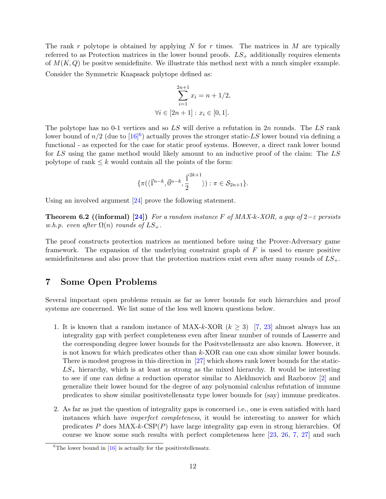The rank r polytope is obtained by applying N for r times. The matrices in M are typically referred to as Protection matrices in the lower bound proofs.  $LS_+$  additionally requires elements of  $M(K,Q)$  be positve semidefinite. We illustrate this method next with a much simpler example. Consider the Symmetric Knapsack polytope defined as:

$$
\sum_{i=1}^{2n+1} x_i = n + 1/2,
$$
  
\n
$$
\forall i \in [2n+1] : x_i \in [0,1].
$$

The polytope has no 0-1 vertices and so  $LS$  will derive a refutation in 2n rounds. The  $LS$  rank lower bound of  $n/2$  (due to  $[16]^{6}$  $[16]^{6}$  $[16]^{6}$  $[16]^{6}$ ) actually proves the stronger static-LS lower bound via defining a functional - as expected for the case for static proof systems. However, a direct rank lower bound for LS using the game method would likely amount to an inductive proof of the claim: The LS polytope of rank  $\leq k$  would contain all the points of the form:

$$
\{\pi(\langle \vec{1}^{n-k}, \vec{0}^{n-k}, \frac{\vec{1}^{2k+1}}{2} \rangle) : \pi \in \mathcal{S}_{2n+1}\}.
$$

Using an involved argument [\[24\]](#page-13-2) prove the following statement.

**Theorem 6.2** ((informal) [\[24\]](#page-13-2)) For a random instance F of MAX-k-XOR, a gap of 2−ε persists w.h.p. even after  $\Omega(n)$  rounds of  $LS_+$ .

The proof constructs protection matrices as mentioned before using the Prover-Adversary game framework. The expansion of the underlying constraint graph of  $F$  is used to ensure positive semidefiniteness and also prove that the protection matrices exist even after many rounds of  $LS_+$ .

### 7 Some Open Problems

Several important open problems remain as far as lower bounds for such hierarchies and proof systems are concerned. We list some of the less well known questions below.

- 1. It is known that a random instance of MAX-k-XOR  $(k \geq 3)$  [\[7,](#page-12-3) [23\]](#page-13-9) almost always has an integrality gap with perfect completeness even after linear number of rounds of Lasserre and the corresponding degree lower bounds for the Positvstellensatz are also known. However, it is not known for which predicates other than k-XOR can one can show similar lower bounds. There is modest progress in this direction in [\[27\]](#page--1-7) which shows rank lower bounds for the static- $LS_{+}$  hierarchy, which is at least as strong as the mixed hierarchy. It would be interesting to see if one can define a reduction operator similar to Alekhnovich and Razborov [\[2\]](#page-12-6) and generalize their lower bound for the degree of any polynomial calculus refutation of immune predicates to show similar positivstellensatz type lower bounds for (say) immune predicates.
- 2. As far as just the question of integrality gaps is concerned i.e., one is even satisfied with hard instances which have *imperfect completeness*, it would be interesting to answer for which predicates P does  $MAX-k-CSP(P)$  have large integrality gap even in strong hierarchies. Of course we know some such results with perfect completeness here [\[23,](#page-13-9) [26,](#page--1-4) [7,](#page-12-3) [27\]](#page--1-7) and such

<span id="page-11-0"></span><sup>&</sup>lt;sup>6</sup>The lower bound in  $[16]$  is actually for the positivstellensatz.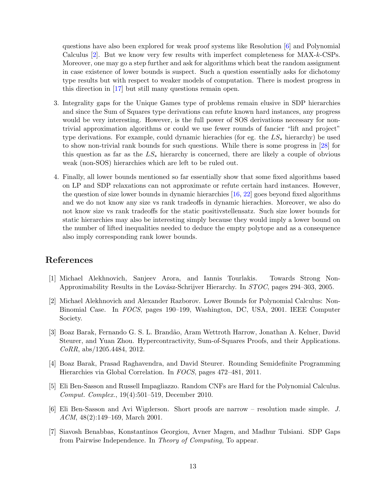questions have also been explored for weak proof systems like Resolution [\[6\]](#page-12-4) and Polynomial Calculus [\[2\]](#page-12-6). But we know very few results with imperfect completeness for MAX-k-CSPs. Moreover, one may go a step further and ask for algorithms which beat the random assignment in case existence of lower bounds is suspect. Such a question essentially asks for dichotomy type results but with respect to weaker models of computation. There is modest progress in this direction in [\[17\]](#page-13-15) but still many questions remain open.

- 3. Integrality gaps for the Unique Games type of problems remain elusive in SDP hierarchies and since the Sum of Squares type derivations can refute known hard instances, any progress would be very interesting. However, is the full power of SOS derivations necessary for nontrivial approximation algorithms or could we use fewer rounds of fancier "lift and project" type derivations. For example, could dynamic hierachies (for eg. the  $LS_*$  hierarchy) be used to show non-trivial rank bounds for such questions. While there is some progress in [\[28\]](#page--1-6) for this question as far as the  $LS_*$  hierarchy is concerned, there are likely a couple of obvious weak (non-SOS) hierarchies which are left to be ruled out.
- 4. Finally, all lower bounds mentioned so far essentially show that some fixed algorithms based on LP and SDP relaxations can not approximate or refute certain hard instances. However, the question of size lower bounds in dynamic hierarchies [\[16,](#page-13-8) [22\]](#page-13-16) goes beyond fixed algorithms and we do not know any size vs rank tradeoffs in dynamic hierachies. Moreover, we also do not know size vs rank tradeoffs for the static positivstellensatz. Such size lower bounds for static hierarchies may also be interesting simply because they would imply a lower bound on the number of lifted inequalities needed to deduce the empty polytope and as a consequence also imply corresponding rank lower bounds.

# References

- <span id="page-12-2"></span>[1] Michael Alekhnovich, Sanjeev Arora, and Iannis Tourlakis. Towards Strong Non-Approximability Results in the Lovász-Schrijver Hierarchy. In STOC, pages 294–303, 2005.
- <span id="page-12-6"></span>[2] Michael Alekhnovich and Alexander Razborov. Lower Bounds for Polynomial Calculus: Non-Binomial Case. In FOCS, pages 190–199, Washington, DC, USA, 2001. IEEE Computer Society.
- <span id="page-12-1"></span>[3] Boaz Barak, Fernando G. S. L. Brand˜ao, Aram Wettroth Harrow, Jonathan A. Kelner, David Steurer, and Yuan Zhou. Hypercontractivity, Sum-of-Squares Proofs, and their Applications. CoRR, abs/1205.4484, 2012.
- <span id="page-12-0"></span>[4] Boaz Barak, Prasad Raghavendra, and David Steurer. Rounding Semidefinite Programming Hierarchies via Global Correlation. In FOCS, pages 472–481, 2011.
- <span id="page-12-5"></span>[5] Eli Ben-Sasson and Russell Impagliazzo. Random CNFs are Hard for the Polynomial Calculus. Comput. Complex., 19(4):501–519, December 2010.
- <span id="page-12-4"></span>[6] Eli Ben-Sasson and Avi Wigderson. Short proofs are narrow – resolution made simple. J. ACM, 48(2):149–169, March 2001.
- <span id="page-12-3"></span>[7] Siavosh Benabbas, Konstantinos Georgiou, Avner Magen, and Madhur Tulsiani. SDP Gaps from Pairwise Independence. In Theory of Computing, To appear.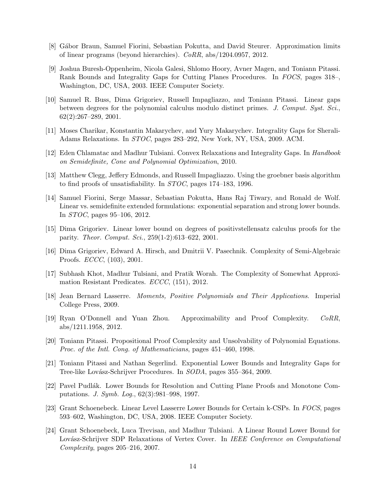- <span id="page-13-6"></span>[8] G´abor Braun, Samuel Fiorini, Sebastian Pokutta, and David Steurer. Approximation limits of linear programs (beyond hierarchies). CoRR, abs/1204.0957, 2012.
- <span id="page-13-1"></span>[9] Joshua Buresh-Oppenheim, Nicola Galesi, Shlomo Hoory, Avner Magen, and Toniann Pitassi. Rank Bounds and Integrality Gaps for Cutting Planes Procedures. In FOCS, pages 318–, Washington, DC, USA, 2003. IEEE Computer Society.
- <span id="page-13-14"></span>[10] Samuel R. Buss, Dima Grigoriev, Russell Impagliazzo, and Toniann Pitassi. Linear gaps between degrees for the polynomial calculus modulo distinct primes. J. Comput. Syst. Sci., 62(2):267–289, 2001.
- <span id="page-13-3"></span>[11] Moses Charikar, Konstantin Makarychev, and Yury Makarychev. Integrality Gaps for Sherali-Adams Relaxations. In STOC, pages 283–292, New York, NY, USA, 2009. ACM.
- <span id="page-13-7"></span>[12] Eden Chlamatac and Madhur Tulsiani. Convex Relaxations and Integrality Gaps. In Handbook on Semidefinite, Cone and Polynomial Optimization, 2010.
- <span id="page-13-10"></span>[13] Matthew Clegg, Jeffery Edmonds, and Russell Impagliazzo. Using the groebner basis algorithm to find proofs of unsatisfiability. In STOC, pages 174–183, 1996.
- <span id="page-13-5"></span>[14] Samuel Fiorini, Serge Massar, Sebastian Pokutta, Hans Raj Tiwary, and Ronald de Wolf. Linear vs. semidefinite extended formulations: exponential separation and strong lower bounds. In STOC, pages 95–106, 2012.
- <span id="page-13-13"></span>[15] Dima Grigoriev. Linear lower bound on degrees of positivstellensatz calculus proofs for the parity. Theor. Comput. Sci., 259(1-2):613–622, 2001.
- <span id="page-13-8"></span>[16] Dima Grigoriev, Edward A. Hirsch, and Dmitrii V. Pasechnik. Complexity of Semi-Algebraic Proofs. ECCC, (103), 2001.
- <span id="page-13-15"></span>[17] Subhash Khot, Madhur Tulsiani, and Pratik Worah. The Complexity of Somewhat Approximation Resistant Predicates. ECCC, (151), 2012.
- <span id="page-13-12"></span>[18] Jean Bernard Lasserre. Moments, Positive Polynomials and Their Applications. Imperial College Press, 2009.
- <span id="page-13-0"></span>[19] Ryan O'Donnell and Yuan Zhou. Approximability and Proof Complexity. CoRR, abs/1211.1958, 2012.
- <span id="page-13-4"></span>[20] Toniann Pitassi. Propositional Proof Complexity and Unsolvability of Polynomial Equations. Proc. of the Intl. Cong. of Mathematicians, pages 451–460, 1998.
- <span id="page-13-11"></span>[21] Toniann Pitassi and Nathan Segerlind. Exponential Lower Bounds and Integrality Gaps for Tree-like Lovász-Schrijver Procedures. In *SODA*, pages 355–364, 2009.
- <span id="page-13-16"></span>[22] Pavel Pudlák. Lower Bounds for Resolution and Cutting Plane Proofs and Monotone Computations. J. Symb. Log., 62(3):981–998, 1997.
- <span id="page-13-9"></span>[23] Grant Schoenebeck. Linear Level Lasserre Lower Bounds for Certain k-CSPs. In FOCS, pages 593–602, Washington, DC, USA, 2008. IEEE Computer Society.
- <span id="page-13-2"></span>[24] Grant Schoenebeck, Luca Trevisan, and Madhur Tulsiani. A Linear Round Lower Bound for Lovász-Schrijver SDP Relaxations of Vertex Cover. In IEEE Conference on Computational Complexity, pages 205–216, 2007.